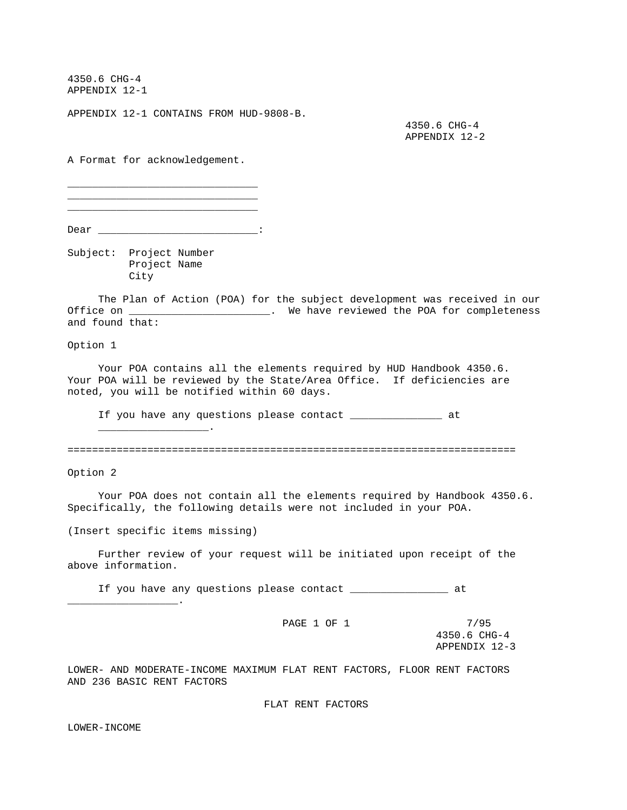4350.6 CHG-4 APPENDIX 12-1

APPENDIX 12-1 CONTAINS FROM HUD-9808-B.

 4350.6 CHG-4 APPENDIX 12-2

A Format for acknowledgement.

\_\_\_\_\_\_\_\_\_\_\_\_\_\_\_\_\_\_\_\_\_\_\_\_\_\_\_\_\_\_\_ \_\_\_\_\_\_\_\_\_\_\_\_\_\_\_\_\_\_\_\_\_\_\_\_\_\_\_\_\_\_\_ \_\_\_\_\_\_\_\_\_\_\_\_\_\_\_\_\_\_\_\_\_\_\_\_\_\_\_\_\_\_\_

Dear \_\_\_\_\_\_\_\_\_\_\_\_\_\_\_\_\_\_\_\_\_\_\_\_\_\_\_\_\_\_\_\_:

Subject: Project Number

 Project Name City

 The Plan of Action (POA) for the subject development was received in our Office on \_\_\_\_\_\_\_\_\_\_\_\_\_\_\_\_\_\_\_\_\_\_\_. We have reviewed the POA for completeness and found that:

Option 1

 Your POA contains all the elements required by HUD Handbook 4350.6. Your POA will be reviewed by the State/Area Office. If deficiencies are noted, you will be notified within 60 days.

If you have any questions please contact \_\_\_\_\_\_\_\_\_\_\_\_\_\_\_ at

=========================================================================

Option 2

 Your POA does not contain all the elements required by Handbook 4350.6. Specifically, the following details were not included in your POA.

(Insert specific items missing)

\_\_\_\_\_\_\_\_\_\_\_\_\_\_\_\_\_\_.

 $\overline{\phantom{a}}$  .

 Further review of your request will be initiated upon receipt of the above information.

If you have any questions please contact \_\_\_\_\_\_\_\_\_\_\_\_\_\_\_\_ at

PAGE 1 OF 1 7/95

 4350.6 CHG-4 APPENDIX 12-3

LOWER- AND MODERATE-INCOME MAXIMUM FLAT RENT FACTORS, FLOOR RENT FACTORS AND 236 BASIC RENT FACTORS

FLAT RENT FACTORS

LOWER-INCOME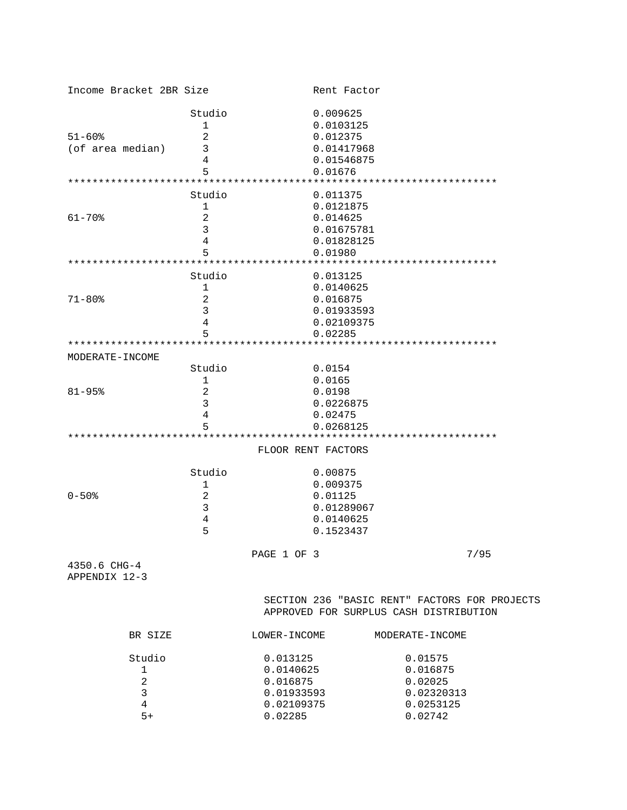| Income Bracket 2BR Size       |                              |              | Rent Factor        |                                                                                         |  |  |
|-------------------------------|------------------------------|--------------|--------------------|-----------------------------------------------------------------------------------------|--|--|
|                               | Studio                       |              | 0.009625           |                                                                                         |  |  |
|                               | 1                            |              | 0.0103125          |                                                                                         |  |  |
| $51 - 60$ $$$                 | 2                            |              | 0.012375           |                                                                                         |  |  |
| (of area median)              | 3                            |              | 0.01417968         |                                                                                         |  |  |
|                               | 4                            |              | 0.01546875         |                                                                                         |  |  |
|                               | 5                            |              | 0.01676            |                                                                                         |  |  |
|                               |                              |              |                    |                                                                                         |  |  |
|                               |                              |              |                    |                                                                                         |  |  |
|                               | Studio                       |              | 0.011375           |                                                                                         |  |  |
|                               | 1                            |              | 0.0121875          |                                                                                         |  |  |
| $61 - 70$                     | 2                            |              | 0.014625           |                                                                                         |  |  |
|                               | 3                            |              | 0.01675781         |                                                                                         |  |  |
|                               | 4                            |              | 0.01828125         |                                                                                         |  |  |
|                               | 5                            |              | 0.01980            |                                                                                         |  |  |
|                               |                              |              |                    |                                                                                         |  |  |
|                               | Studio                       |              | 0.013125           |                                                                                         |  |  |
|                               | $\mathbf 1$                  |              | 0.0140625          |                                                                                         |  |  |
| $71 - 80$                     | 2                            |              | 0.016875           |                                                                                         |  |  |
|                               | 3                            |              | 0.01933593         |                                                                                         |  |  |
|                               | 4                            |              | 0.02109375         |                                                                                         |  |  |
|                               | 5                            |              | 0.02285            |                                                                                         |  |  |
| ***************************** |                              |              |                    |                                                                                         |  |  |
| MODERATE-INCOME               |                              |              |                    |                                                                                         |  |  |
|                               | Studio                       |              | 0.0154             |                                                                                         |  |  |
|                               |                              |              |                    |                                                                                         |  |  |
|                               | 1                            |              | 0.0165             |                                                                                         |  |  |
| $81 - 95$                     | 2                            |              | 0.0198             |                                                                                         |  |  |
|                               | 3                            |              | 0.0226875          |                                                                                         |  |  |
|                               | 4                            |              | 0.02475            |                                                                                         |  |  |
|                               | 5                            |              | 0.0268125          |                                                                                         |  |  |
|                               |                              |              |                    |                                                                                         |  |  |
|                               |                              |              | FLOOR RENT FACTORS |                                                                                         |  |  |
|                               | Studio                       |              | 0.00875            |                                                                                         |  |  |
|                               | 1                            |              | 0.009375           |                                                                                         |  |  |
| $0 - 50$ $\frac{1}{2}$        | 2                            |              | 0.01125            |                                                                                         |  |  |
|                               | 3                            |              | 0.01289067         |                                                                                         |  |  |
|                               | 4                            |              | 0.0140625          |                                                                                         |  |  |
|                               | 5                            |              | 0.1523437          |                                                                                         |  |  |
|                               |                              |              |                    |                                                                                         |  |  |
|                               |                              | PAGE 1 OF 3  |                    |                                                                                         |  |  |
|                               |                              |              |                    | 7/95                                                                                    |  |  |
| 4350.6 CHG-4<br>APPENDIX 12-3 |                              |              |                    |                                                                                         |  |  |
|                               |                              |              |                    |                                                                                         |  |  |
|                               |                              |              |                    | SECTION 236 "BASIC RENT" FACTORS FOR PROJECTS<br>APPROVED FOR SURPLUS CASH DISTRIBUTION |  |  |
| BR SIZE                       |                              | LOWER-INCOME |                    | MODERATE-INCOME                                                                         |  |  |
| Studio                        |                              | 0.013125     |                    | 0.01575                                                                                 |  |  |
| 1                             |                              | 0.0140625    |                    | 0.016875                                                                                |  |  |
| $\overline{a}$                | 0.016875                     |              |                    |                                                                                         |  |  |
| 3                             |                              |              |                    | 0.02025                                                                                 |  |  |
|                               |                              | 0.01933593   |                    | 0.02320313                                                                              |  |  |
|                               | $\overline{4}$<br>0.02109375 |              |                    | 0.0253125                                                                               |  |  |
| $5+$                          |                              | 0.02285      |                    | 0.02742                                                                                 |  |  |